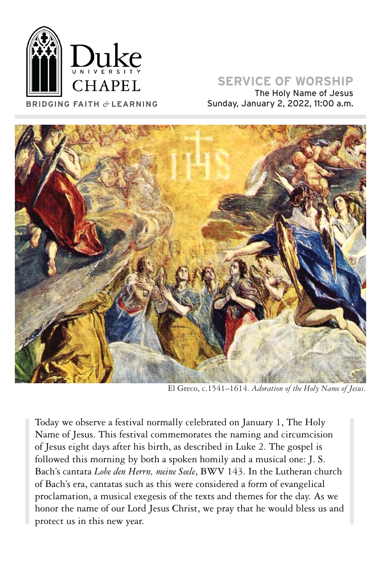

# **SERVICE OF WORSHIP**

The Holy Name of Jesus **BRIDGING FAITH** *&* **LEARNING** Sunday, January 2, 2022, 11:00 a.m.



El Greco, c.1541–1614. *Adoration of the Holy Name of Jesus*.

Today we observe a festival normally celebrated on January 1, The Holy Name of Jesus. This festival commemorates the naming and circumcision of Jesus eight days after his birth, as described in Luke 2. The gospel is followed this morning by both a spoken homily and a musical one: J. S. Bach's cantata *Lobe den Herrn, meine Seele*, BWV 143. In the Lutheran church of Bach's era, cantatas such as this were considered a form of evangelical proclamation, a musical exegesis of the texts and themes for the day. As we honor the name of our Lord Jesus Christ, we pray that he would bless us and protect us in this new year.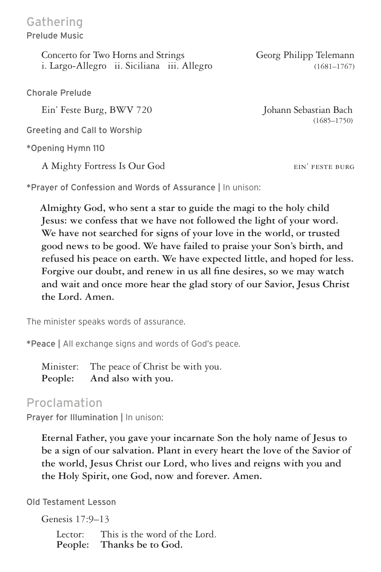Concerto for Two Horns and Strings Georg Philipp Telemann i. Largo-Allegro ii. Siciliana iii. Allegro (1681-1767)

Chorale Prelude

Greeting and Call to Worship

\*Opening Hymn 110

A Mighty Fortress Is Our God eines and the set of the set of the set of the set of the set of the set of the set of the set of the set of the set of the set of the set of the set of the set of the set of the set of the set

\*Prayer of Confession and Words of Assurance | In unison:

 **Almighty God, who sent a star to guide the magi to the holy child Jesus: we confess that we have not followed the light of your word. We have not searched for signs of your love in the world, or trusted good news to be good. We have failed to praise your Son's birth, and refused his peace on earth. We have expected little, and hoped for less. Forgive our doubt, and renew in us all fine desires, so we may watch and wait and once more hear the glad story of our Savior, Jesus Christ the Lord. Amen.** 

The minister speaks words of assurance.

\*Peace | All exchange signs and words of God's peace.

Minister: The peace of Christ be with you. **People: And also with you.**

### Proclamation

Prayer for Illumination | In unison:

**Eternal Father, you gave your incarnate Son the holy name of Jesus to be a sign of our salvation. Plant in every heart the love of the Savior of the world, Jesus Christ our Lord, who lives and reigns with you and the Holy Spirit, one God, now and forever. Amen.**

Old Testament Lesson

Genesis 17:9–13

Lector: This is the word of the Lord.<br>People: Thanks be to God. Thanks be to God.

Ein' Feste Burg, BWV 720 Johann Sebastian Bach (1685–1750)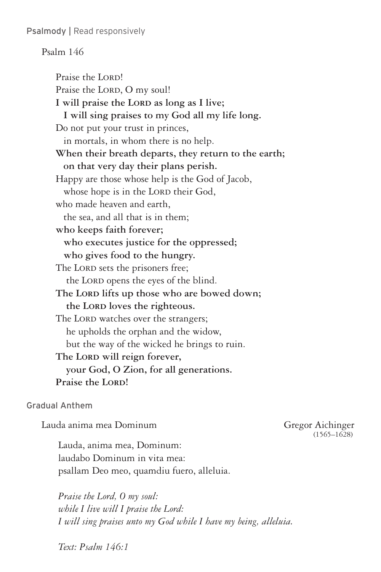Psalmody | Read responsively

### Psalm 146

Praise the LORD! Praise the LORD, O my soul! I will praise the LORD as long as I live;  **I will sing praises to my God all my life long.** Do not put your trust in princes, in mortals, in whom there is no help. **When their breath departs, they return to the earth; on that very day their plans perish.** Happy are those whose help is the God of Jacob, whose hope is in the LORD their God, who made heaven and earth, the sea, and all that is in them; **who keeps faith forever; who executes justice for the oppressed; who gives food to the hungry.** The LORD sets the prisoners free; the LORD opens the eyes of the blind. The LORD lifts up those who are bowed down; the LORD loves the righteous. The LORD watches over the strangers; he upholds the orphan and the widow, but the way of the wicked he brings to ruin. The LORD will reign forever,  **your God, O Zion, for all generations.** Praise the LORD!

### Gradual Anthem

Lauda anima mea Dominum Gregor Aichinger (1565–1628)

Lauda, anima mea, Dominum: laudabo Dominum in vita mea: psallam Deo meo, quamdiu fuero, alleluia.

*Praise the Lord, O my soul: while I live will I praise the Lord: I will sing praises unto my God while I have my being, alleluia.*

*Text: Psalm 146:1*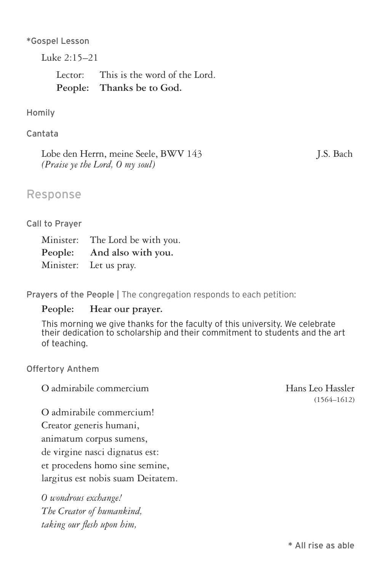\*Gospel Lesson

Luke 2:15–21

Lector: This is the word of the Lord. **People: Thanks be to God.** 

Homily

Cantata

Lobe den Herrn, meine Seele, BWV 143 J.S. Bach *(Praise ye the Lord, O my soul)*

### Response

#### Call to Prayer

| Minister: The Lord be with you. |
|---------------------------------|
| People: And also with you.      |
| Minister: Let us pray.          |

Prayers of the People | The congregation responds to each petition:

### **People: Hear our prayer.**

This morning we give thanks for the faculty of this university. We celebrate their dedication to scholarship and their commitment to students and the art of teaching.

Offertory Anthem

O admirabile commercium and Hans Leo Hassler

O admirabile commercium! Creator generis humani, animatum corpus sumens, de virgine nasci dignatus est: et procedens homo sine semine,

largitus est nobis suam Deitatem.

*O wondrous exchange! The Creator of humankind, taking our flesh upon him,* 

(1564–1612)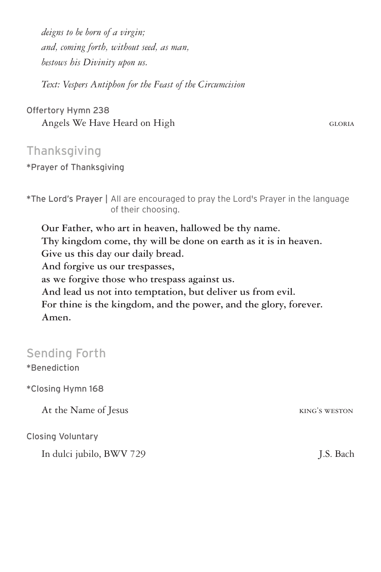*deigns to be born of a virgin; and, coming forth, without seed, as man, bestows his Divinity upon us.*

*Text: Vespers Antiphon for the Feast of the Circumcision*

Offertory Hymn 238 Angels We Have Heard on High glorial contract of the GLORIA

### **Thanksgiving**

\*Prayer of Thanksgiving

\*The Lord's Prayer | All are encouraged to pray the Lord's Prayer in the language of their choosing.

**Our Father, who art in heaven, hallowed be thy name. Thy kingdom come, thy will be done on earth as it is in heaven. Give us this day our daily bread. And forgive us our trespasses, as we forgive those who trespass against us. And lead us not into temptation, but deliver us from evil. For thine is the kingdom, and the power, and the glory, forever. Amen.**

## Sending Forth

\*Benediction

\*Closing Hymn 168

At the Name of Jesus KING's WESTON

Closing Voluntary

In dulci jubilo, BWV 729 J.S. Bach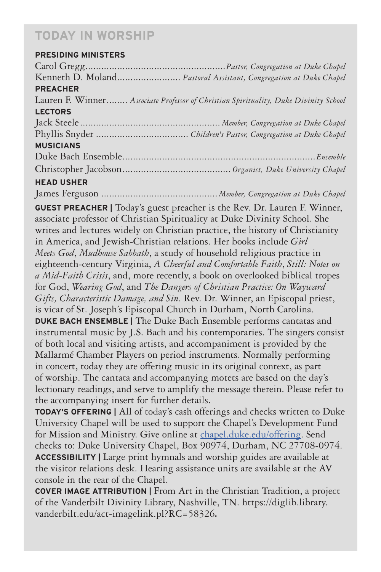# **TODAY IN WORSHIP**

### **PRESIDING MINISTERS**

| Kenneth D. Moland Pastoral Assistant, Congregation at Duke Chapel                                                                                              |
|----------------------------------------------------------------------------------------------------------------------------------------------------------------|
| <b>PREACHER</b>                                                                                                                                                |
| Lauren F. Winner Associate Professor of Christian Spirituality, Duke Divinity School                                                                           |
| <b>LECTORS</b>                                                                                                                                                 |
|                                                                                                                                                                |
|                                                                                                                                                                |
| <b>MUSICIANS</b>                                                                                                                                               |
|                                                                                                                                                                |
|                                                                                                                                                                |
| <b>HEAD USHER</b>                                                                                                                                              |
|                                                                                                                                                                |
| <b>GUEST PREACHER</b>   Today's guest preacher is the Rev. Dr. Lauren F. Winner,<br>associate professor of Christian Spirituality at Duke Divinity School. She |
| writes and lectures widely on Christian practice, the history of Christianity                                                                                  |
| in America, and Jewish-Christian relations. Her books include Girl                                                                                             |
| Meets God, Mudhouse Sabbath, a study of household religious practice in                                                                                        |
| eighteenth-century Virginia, A Cheerful and Comfortable Faith, Still: Notes on                                                                                 |
| a Mid-Faith Crisis, and, more recently, a book on overlooked biblical tropes                                                                                   |
| for God, Wearing God, and The Dangers of Christian Practice: On Wayward                                                                                        |
| Gifts, Characteristic Damage, and Sin. Rev. Dr. Winner, an Episcopal priest,                                                                                   |
| is vicar of St. Joseph's Episcopal Church in Durham, North Carolina.                                                                                           |
| <b>DUKE BACH ENSEMBLE   The Duke Bach Ensemble performs cantatas and</b>                                                                                       |
| instrumental music by J.S. Bach and his contemporaries. The singers consist                                                                                    |
| of both local and visiting artists, and accompaniment is provided by the                                                                                       |
| Mallarmé Chamber Players on period instruments. Normally performing                                                                                            |
| in concert, today they are offering music in its original context, as part                                                                                     |
| of worship. The cantata and accompanying motets are based on the day's                                                                                         |

lectionary readings, and serve to amplify the message therein. Please refer to the accompanying insert for further details.

**TODAY'S OFFERING |** All of today's cash offerings and checks written to Duke University Chapel will be used to support the Chapel's Development Fund for Mission and Ministry. Give online at chapel.duke.edu/offering. Send checks to: Duke University Chapel, Box 90974, Durham, NC 27708-0974. **ACCESSIBILITY |** Large print hymnals and worship guides are available at the visitor relations desk. Hearing assistance units are available at the AV console in the rear of the Chapel.

**COVER IMAGE ATTRIBUTION |** From Art in the Christian Tradition, a project of the Vanderbilt Divinity Library, Nashville, TN. https://diglib.library. vanderbilt.edu/act-imagelink.pl?RC=58326**.**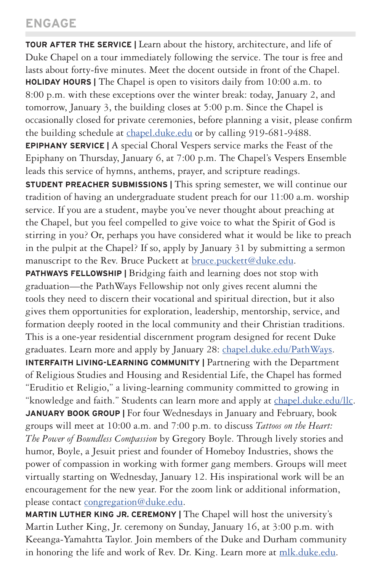# **ENGAGE**

**TOUR AFTER THE SERVICE |** Learn about the history, architecture, and life of Duke Chapel on a tour immediately following the service. The tour is free and lasts about forty-five minutes. Meet the docent outside in front of the Chapel. **HOLIDAY HOURS |** The Chapel is open to visitors daily from 10:00 a.m. to 8:00 p.m. with these exceptions over the winter break: today, January 2, and tomorrow, January 3, the building closes at 5:00 p.m. Since the Chapel is occasionally closed for private ceremonies, before planning a visit, please confirm the building schedule at chapel.duke.edu or by calling 919-681-9488. **EPIPHANY SERVICE |** A special Choral Vespers service marks the Feast of the Epiphany on Thursday, January 6, at 7:00 p.m. The Chapel's Vespers Ensemble leads this service of hymns, anthems, prayer, and scripture readings. **STUDENT PREACHER SUBMISSIONS | This spring semester, we will continue our** tradition of having an undergraduate student preach for our 11:00 a.m. worship service. If you are a student, maybe you've never thought about preaching at the Chapel, but you feel compelled to give voice to what the Spirit of God is stirring in you? Or, perhaps you have considered what it would be like to preach in the pulpit at the Chapel? If so, apply by January 31 by submitting a sermon manuscript to the Rev. Bruce Puckett at **bruce.puckett@duke.edu**. **PATHWAYS FELLOWSHIP | Bridging faith and learning does not stop with** graduation—the PathWays Fellowship not only gives recent alumni the tools they need to discern their vocational and spiritual direction, but it also gives them opportunities for exploration, leadership, mentorship, service, and formation deeply rooted in the local community and their Christian traditions. This is a one-year residential discernment program designed for recent Duke graduates. Learn more and apply by January 28: chapel.duke.edu/PathWays. **INTERFAITH LIVING-LEARNING COMMUNITY | Partnering with the Department** of Religious Studies and Housing and Residential Life, the Chapel has formed "Eruditio et Religio," a living-learning community committed to growing in "knowledge and faith." Students can learn more and apply at chapel.duke.edu/llc. **JANUARY BOOK GROUP | For four Wednesdays in January and February, book** groups will meet at 10:00 a.m. and 7:00 p.m. to discuss *Tattoos on the Heart: The Power of Boundless Compassion* by Gregory Boyle. Through lively stories and humor, Boyle, a Jesuit priest and founder of Homeboy Industries, shows the power of compassion in working with former gang members. Groups will meet virtually starting on Wednesday, January 12. His inspirational work will be an encouragement for the new year. For the zoom link or additional information, please contact congregation@duke.edu.

**MARTIN LUTHER KING JR. CEREMONY |** The Chapel will host the university's Martin Luther King, Jr. ceremony on Sunday, January 16, at 3:00 p.m. with Keeanga-Yamahtta Taylor. Join members of the Duke and Durham community in honoring the life and work of Rev. Dr. King. Learn more at mlk.duke.edu.